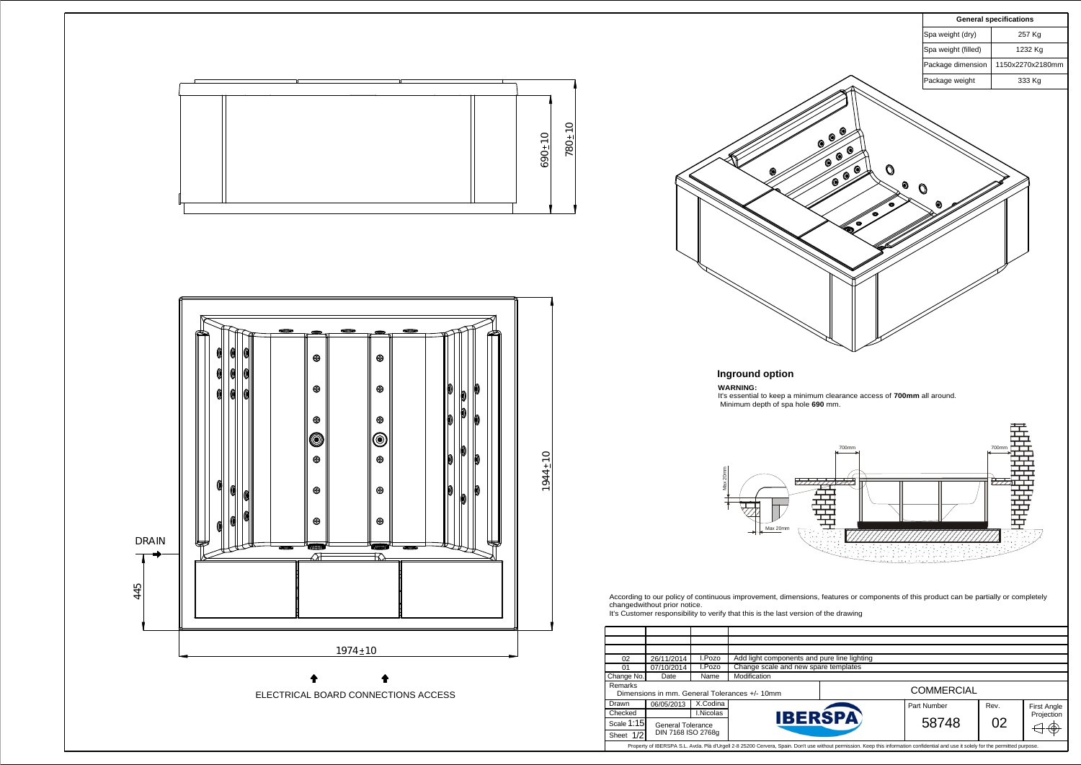